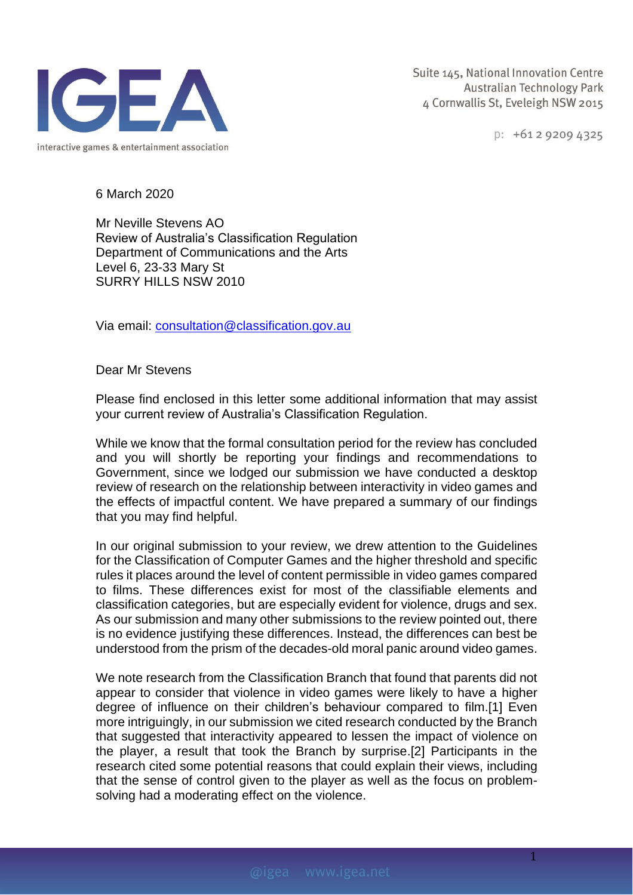

 $p: +61292094325$ 

6 March 2020

Mr Neville Stevens AO Review of Australia's Classification Regulation Department of Communications and the Arts Level 6, 23-33 Mary St SURRY HILLS NSW 2010

Via email: [consultation@classification.gov.au](mailto:consultation@classification.gov.au?subject=Review%20of%20Australian%20classification%20regulation%20consultation)

Dear Mr Stevens

Please find enclosed in this letter some additional information that may assist your current review of Australia's Classification Regulation.

While we know that the formal consultation period for the review has concluded and you will shortly be reporting your findings and recommendations to Government, since we lodged our submission we have conducted a desktop review of research on the relationship between interactivity in video games and the effects of impactful content. We have prepared a summary of our findings that you may find helpful.

In our original submission to your review, we drew attention to the Guidelines for the Classification of Computer Games and the higher threshold and specific rules it places around the level of content permissible in video games compared to films. These differences exist for most of the classifiable elements and classification categories, but are especially evident for violence, drugs and sex. As our submission and many other submissions to the review pointed out, there is no evidence justifying these differences. Instead, the differences can best be understood from the prism of the decades-old moral panic around video games.

We note research from the Classification Branch that found that parents did not appear to consider that violence in video games were likely to have a higher degree of influence on their children's behaviour compared to film.[1] Even more intriguingly, in our submission we cited research conducted by the Branch that suggested that interactivity appeared to lessen the impact of violence on the player, a result that took the Branch by surprise.[2] Participants in the research cited some potential reasons that could explain their views, including that the sense of control given to the player as well as the focus on problemsolving had a moderating effect on the violence.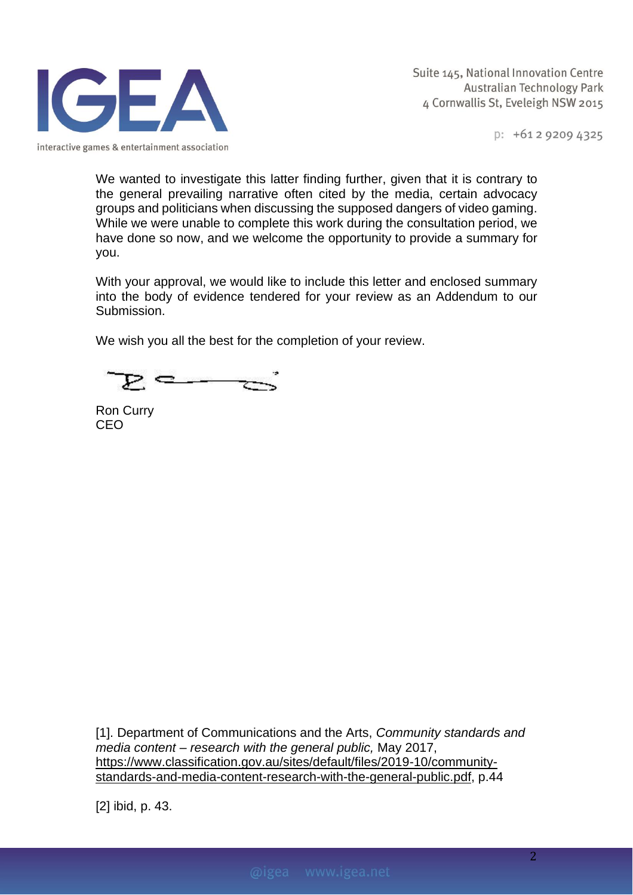

 $p: +61292094325$ 

We wanted to investigate this latter finding further, given that it is contrary to the general prevailing narrative often cited by the media, certain advocacy groups and politicians when discussing the supposed dangers of video gaming. While we were unable to complete this work during the consultation period, we have done so now, and we welcome the opportunity to provide a summary for you.

With your approval, we would like to include this letter and enclosed summary into the body of evidence tendered for your review as an Addendum to our Submission.

We wish you all the best for the completion of your review.

Ron Curry CEO

[1]. Department of Communications and the Arts, *Community standards and media content – research with the general public,* May 2017, [https://www.classification.gov.au/sites/default/files/2019-10/community](https://www.classification.gov.au/sites/default/files/2019-10/community-standards-and-media-content-research-with-the-general-public.pdf)[standards-and-media-content-research-with-the-general-public.pdf,](https://www.classification.gov.au/sites/default/files/2019-10/community-standards-and-media-content-research-with-the-general-public.pdf) p.44

[2] ibid, p. 43.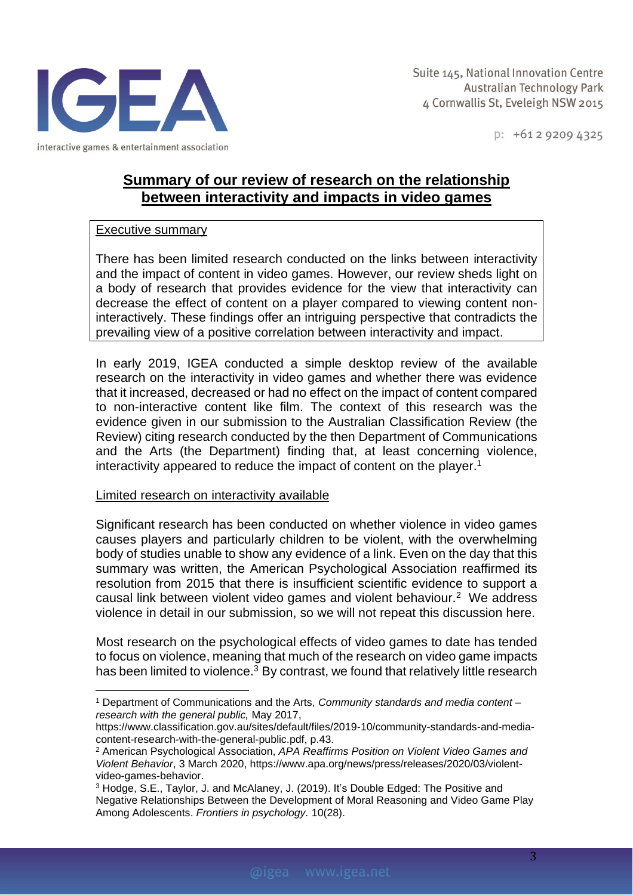

 $p: +61292094325$ 

# **Summary of our review of research on the relationship between interactivity and impacts in video games**

## Executive summary

There has been limited research conducted on the links between interactivity and the impact of content in video games. However, our review sheds light on a body of research that provides evidence for the view that interactivity can decrease the effect of content on a player compared to viewing content noninteractively. These findings offer an intriguing perspective that contradicts the prevailing view of a positive correlation between interactivity and impact.

In early 2019, IGEA conducted a simple desktop review of the available research on the interactivity in video games and whether there was evidence that it increased, decreased or had no effect on the impact of content compared to non-interactive content like film. The context of this research was the evidence given in our submission to the Australian Classification Review (the Review) citing research conducted by the then Department of Communications and the Arts (the Department) finding that, at least concerning violence, interactivity appeared to reduce the impact of content on the player. 1

### Limited research on interactivity available

Significant research has been conducted on whether violence in video games causes players and particularly children to be violent, with the overwhelming body of studies unable to show any evidence of a link. Even on the day that this summary was written, the American Psychological Association reaffirmed its resolution from 2015 that there is insufficient scientific evidence to support a causal link between violent video games and violent behaviour.<sup>2</sup> We address violence in detail in our submission, so we will not repeat this discussion here.

Most research on the psychological effects of video games to date has tended to focus on violence, meaning that much of the research on video game impacts has been limited to violence.<sup>3</sup> By contrast, we found that relatively little research

<sup>1</sup> Department of Communications and the Arts, *Community standards and media content – research with the general public,* May 2017,

[https://www.classification.gov.au/sites/default/files/2019-10/community-standards-and-media](https://www.classification.gov.au/sites/default/files/2019-10/community-standards-and-media-content-research-with-the-general-public.pdf)[content-research-with-the-general-public.pdf,](https://www.classification.gov.au/sites/default/files/2019-10/community-standards-and-media-content-research-with-the-general-public.pdf) p.43.

<sup>2</sup> American Psychological Association, *APA Reaffirms Position on Violent Video Games and Violent Behavior*, 3 March 2020, [https://www.apa.org/news/press/releases/2020/03/violent](https://www.apa.org/news/press/releases/2020/03/violent-video-games-behavior)[video-games-behavior.](https://www.apa.org/news/press/releases/2020/03/violent-video-games-behavior)

<sup>3</sup> Hodge, S.E., Taylor, J. and McAlaney, J. (2019). It's Double Edged: The Positive and Negative Relationships Between the Development of Moral Reasoning and Video Game Play Among Adolescents. *Frontiers in psychology.* 10(28).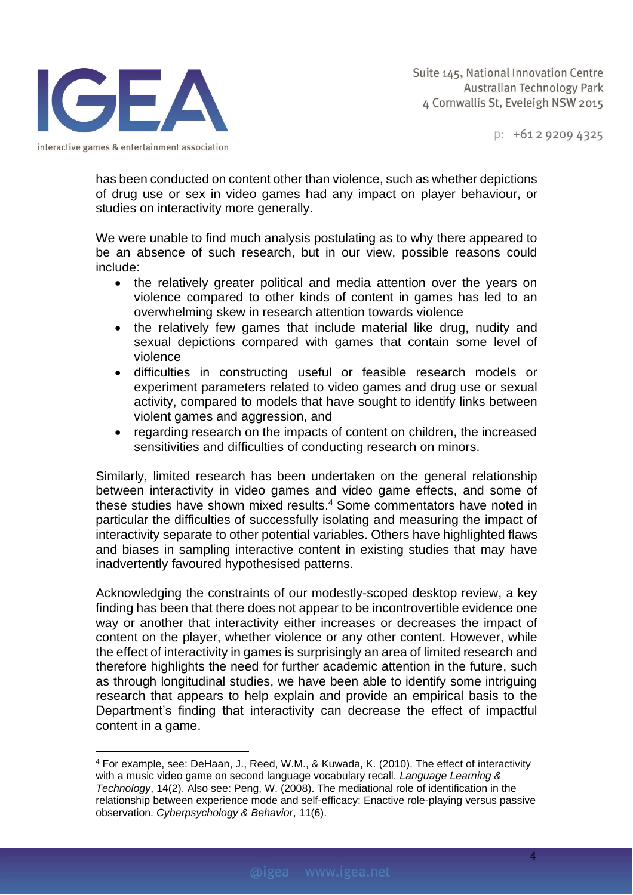

 $p: +61292094325$ 

has been conducted on content other than violence, such as whether depictions of drug use or sex in video games had any impact on player behaviour, or studies on interactivity more generally.

We were unable to find much analysis postulating as to why there appeared to be an absence of such research, but in our view, possible reasons could include:

- the relatively greater political and media attention over the years on violence compared to other kinds of content in games has led to an overwhelming skew in research attention towards violence
- the relatively few games that include material like drug, nudity and sexual depictions compared with games that contain some level of violence
- difficulties in constructing useful or feasible research models or experiment parameters related to video games and drug use or sexual activity, compared to models that have sought to identify links between violent games and aggression, and
- regarding research on the impacts of content on children, the increased sensitivities and difficulties of conducting research on minors.

Similarly, limited research has been undertaken on the general relationship between interactivity in video games and video game effects, and some of these studies have shown mixed results. <sup>4</sup> Some commentators have noted in particular the difficulties of successfully isolating and measuring the impact of interactivity separate to other potential variables. Others have highlighted flaws and biases in sampling interactive content in existing studies that may have inadvertently favoured hypothesised patterns.

Acknowledging the constraints of our modestly-scoped desktop review, a key finding has been that there does not appear to be incontrovertible evidence one way or another that interactivity either increases or decreases the impact of content on the player, whether violence or any other content. However, while the effect of interactivity in games is surprisingly an area of limited research and therefore highlights the need for further academic attention in the future, such as through longitudinal studies, we have been able to identify some intriguing research that appears to help explain and provide an empirical basis to the Department's finding that interactivity can decrease the effect of impactful content in a game.

4

<sup>4</sup> For example, see: DeHaan, J., Reed, W.M., & Kuwada, K. (2010). The effect of interactivity with a music video game on second language vocabulary recall. *Language Learning & Technology*, 14(2). Also see: Peng, W. (2008). The mediational role of identification in the relationship between experience mode and self-efficacy: Enactive role-playing versus passive observation. *Cyberpsychology & Behavior*, 11(6).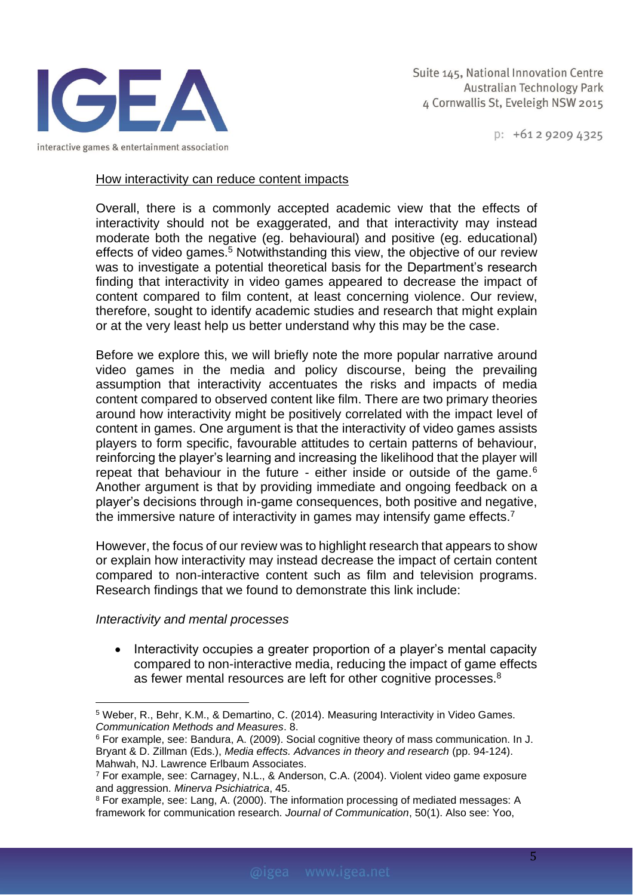

 $p: +61292094325$ 

#### How interactivity can reduce content impacts

Overall, there is a commonly accepted academic view that the effects of interactivity should not be exaggerated, and that interactivity may instead moderate both the negative (eg. behavioural) and positive (eg. educational) effects of video games. <sup>5</sup> Notwithstanding this view, the objective of our review was to investigate a potential theoretical basis for the Department's research finding that interactivity in video games appeared to decrease the impact of content compared to film content, at least concerning violence. Our review, therefore, sought to identify academic studies and research that might explain or at the very least help us better understand why this may be the case.

Before we explore this, we will briefly note the more popular narrative around video games in the media and policy discourse, being the prevailing assumption that interactivity accentuates the risks and impacts of media content compared to observed content like film. There are two primary theories around how interactivity might be positively correlated with the impact level of content in games. One argument is that the interactivity of video games assists players to form specific, favourable attitudes to certain patterns of behaviour, reinforcing the player's learning and increasing the likelihood that the player will repeat that behaviour in the future - either inside or outside of the game.<sup>6</sup> Another argument is that by providing immediate and ongoing feedback on a player's decisions through in-game consequences, both positive and negative, the immersive nature of interactivity in games may intensify game effects.<sup>7</sup>

However, the focus of our review was to highlight research that appears to show or explain how interactivity may instead decrease the impact of certain content compared to non-interactive content such as film and television programs. Research findings that we found to demonstrate this link include:

### *Interactivity and mental processes*

• Interactivity occupies a greater proportion of a player's mental capacity compared to non-interactive media, reducing the impact of game effects as fewer mental resources are left for other cognitive processes.<sup>8</sup>

<sup>5</sup> Weber, R., Behr, K.M., & Demartino, C. (2014). Measuring Interactivity in Video Games. *Communication Methods and Measures*. 8.

<sup>6</sup> For example, see: Bandura, A. (2009). Social cognitive theory of mass communication. In J. Bryant & D. Zillman (Eds.), *Media effects. Advances in theory and research* (pp. 94-124). Mahwah, NJ. Lawrence Erlbaum Associates.

<sup>7</sup> For example, see: Carnagey, N.L., & Anderson, C.A. (2004). Violent video game exposure and aggression. *Minerva Psichiatrica*, 45.

<sup>8</sup> For example, see: Lang, A. (2000). The information processing of mediated messages: A framework for communication research. *Journal of Communication*, 50(1). Also see: Yoo,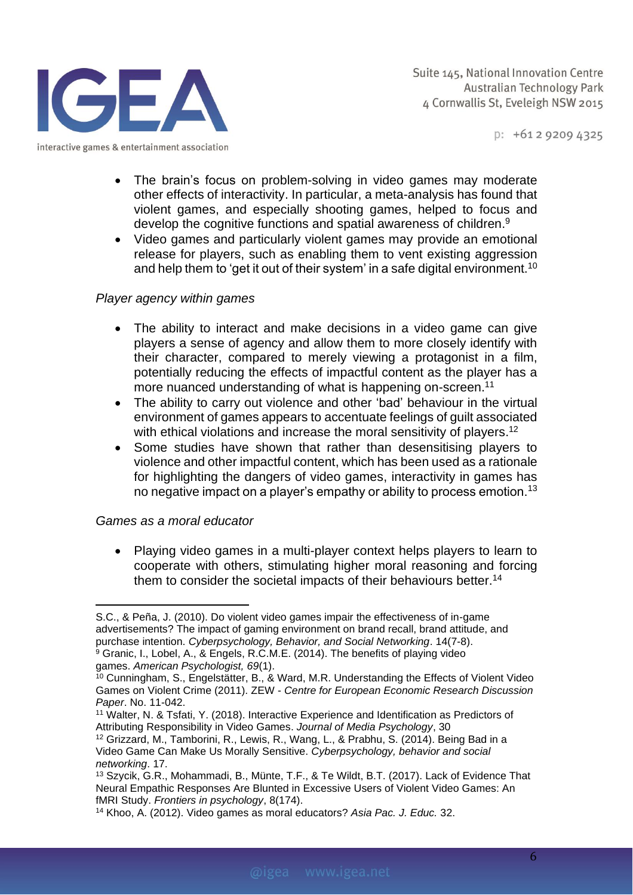

 $p: +61292094325$ 

- The brain's focus on problem-solving in video games may moderate other effects of interactivity. In particular, a meta-analysis has found that violent games, and especially shooting games, helped to focus and develop the cognitive functions and spatial awareness of children. 9
- Video games and particularly violent games may provide an emotional release for players, such as enabling them to vent existing aggression and help them to 'get it out of their system' in a safe digital environment.<sup>10</sup>

## *Player agency within games*

- The ability to interact and make decisions in a video game can give players a sense of agency and allow them to more closely identify with their character, compared to merely viewing a protagonist in a film, potentially reducing the effects of impactful content as the player has a more nuanced understanding of what is happening on-screen. 11
- The ability to carry out violence and other 'bad' behaviour in the virtual environment of games appears to accentuate feelings of guilt associated with ethical violations and increase the moral sensitivity of players.<sup>12</sup>
- Some studies have shown that rather than desensitising players to violence and other impactful content, which has been used as a rationale for highlighting the dangers of video games, interactivity in games has no negative impact on a player's empathy or ability to process emotion.<sup>13</sup>

## *Games as a moral educator*

• Playing video games in a multi-player context helps players to learn to cooperate with others, stimulating higher moral reasoning and forcing them to consider the societal impacts of their behaviours better.<sup>14</sup>

S.C., & Peña, J. (2010). Do violent video games impair the effectiveness of in-game advertisements? The impact of gaming environment on brand recall, brand attitude, and purchase intention. *Cyberpsychology, Behavior, and Social Networking*. 14(7-8). <sup>9</sup> Granic, I., Lobel, A., & Engels, R.C.M.E. (2014). The benefits of playing video

games. *American Psychologist, 69*(1).

<sup>10</sup> Cunningham, S., Engelstätter, B., & Ward, M.R. Understanding the Effects of Violent Video Games on Violent Crime (2011). ZEW - *Centre for European Economic Research Discussion Paper*. No. 11-042.

<sup>&</sup>lt;sup>11</sup> Walter, N. & Tsfati, Y. (2018). Interactive Experience and Identification as Predictors of Attributing Responsibility in Video Games. *Journal of Media Psychology*, 30

<sup>12</sup> Grizzard, M., Tamborini, R., Lewis, R., Wang, L., & Prabhu, S. (2014). Being Bad in a Video Game Can Make Us Morally Sensitive. *Cyberpsychology, behavior and social networking*. 17.

<sup>13</sup> Szycik, G.R., Mohammadi, B., Münte, T.F., & Te Wildt, B.T. (2017). Lack of Evidence That Neural Empathic Responses Are Blunted in Excessive Users of Violent Video Games: An fMRI Study. *Frontiers in psychology*, 8(174).

<sup>14</sup> Khoo, A. (2012). Video games as moral educators? *Asia Pac. J. Educ.* 32.